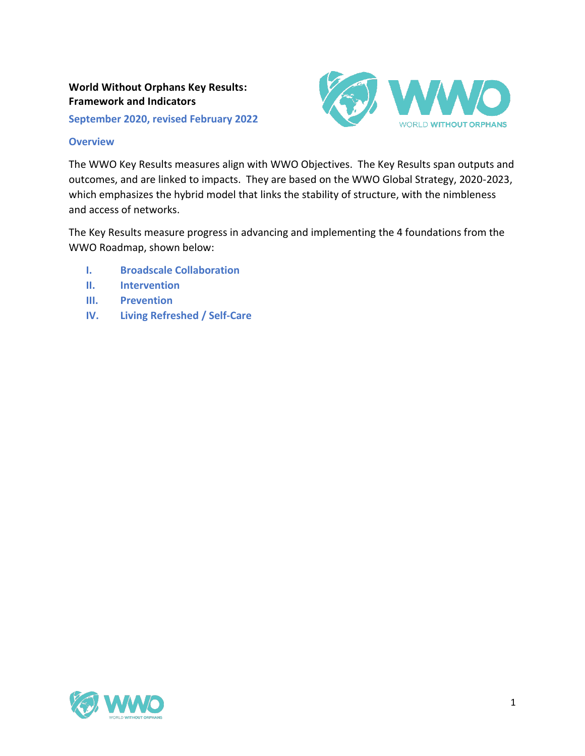# **World Without Orphans Key Results: Framework and Indicators**

**September 2020, revised February 2022**



#### **Overview**

The WWO Key Results measures align with WWO Objectives. The Key Results span outputs and outcomes, and are linked to impacts. They are based on the WWO Global Strategy, 2020-2023, which emphasizes the hybrid model that links the stability of structure, with the nimbleness and access of networks.

The Key Results measure progress in advancing and implementing the 4 foundations from the WWO Roadmap, shown below:

- **I. Broadscale Collaboration**
- **II. Intervention**
- **III. Prevention**
- **IV. Living Refreshed / Self-Care**

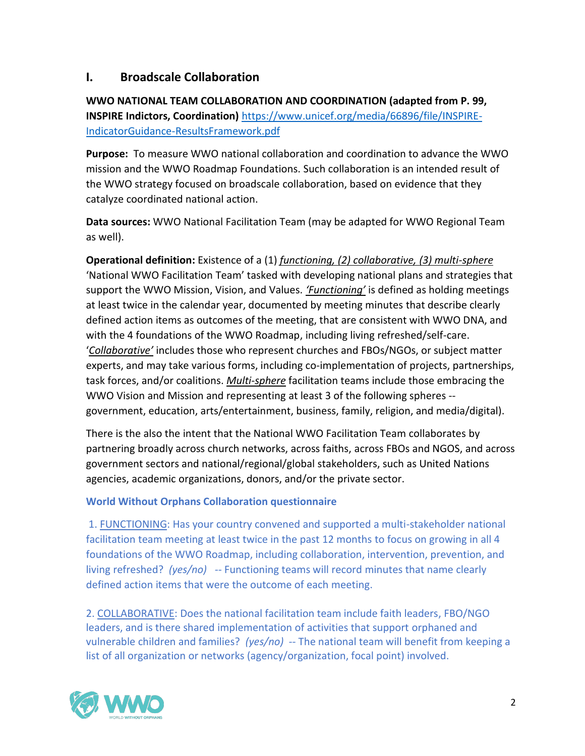# **I. Broadscale Collaboration**

**WWO NATIONAL TEAM COLLABORATION AND COORDINATION (adapted from P. 99, INSPIRE Indictors, Coordination)** [https://www.unicef.org/media/66896/file/INSPIRE-](https://www.unicef.org/media/66896/file/INSPIRE-IndicatorGuidance-ResultsFramework.pdf)[IndicatorGuidance-ResultsFramework.pdf](https://www.unicef.org/media/66896/file/INSPIRE-IndicatorGuidance-ResultsFramework.pdf)

**Purpose:** To measure WWO national collaboration and coordination to advance the WWO mission and the WWO Roadmap Foundations. Such collaboration is an intended result of the WWO strategy focused on broadscale collaboration, based on evidence that they catalyze coordinated national action.

**Data sources:** WWO National Facilitation Team (may be adapted for WWO Regional Team as well).

**Operational definition:** Existence of a (1) *functioning, (2) collaborative, (3) multi-sphere* 'National WWO Facilitation Team' tasked with developing national plans and strategies that support the WWO Mission, Vision, and Values. *'Functioning'* is defined as holding meetings at least twice in the calendar year, documented by meeting minutes that describe clearly defined action items as outcomes of the meeting, that are consistent with WWO DNA, and with the 4 foundations of the WWO Roadmap, including living refreshed/self-care. '*Collaborative'* includes those who represent churches and FBOs/NGOs, or subject matter experts, and may take various forms, including co-implementation of projects, partnerships, task forces, and/or coalitions. *Multi-sphere* facilitation teams include those embracing the WWO Vision and Mission and representing at least 3 of the following spheres - government, education, arts/entertainment, business, family, religion, and media/digital).

There is the also the intent that the National WWO Facilitation Team collaborates by partnering broadly across church networks, across faiths, across FBOs and NGOS, and across government sectors and national/regional/global stakeholders, such as United Nations agencies, academic organizations, donors, and/or the private sector.

### **World Without Orphans Collaboration questionnaire**

1. FUNCTIONING: Has your country convened and supported a multi-stakeholder national facilitation team meeting at least twice in the past 12 months to focus on growing in all 4 foundations of the WWO Roadmap, including collaboration, intervention, prevention, and living refreshed? *(yes/no) --* Functioning teams will record minutes that name clearly defined action items that were the outcome of each meeting.

2. COLLABORATIVE: Does the national facilitation team include faith leaders, FBO/NGO leaders, and is there shared implementation of activities that support orphaned and vulnerable children and families? *(yes/no) --* The national team will benefit from keeping a list of all organization or networks (agency/organization, focal point) involved.

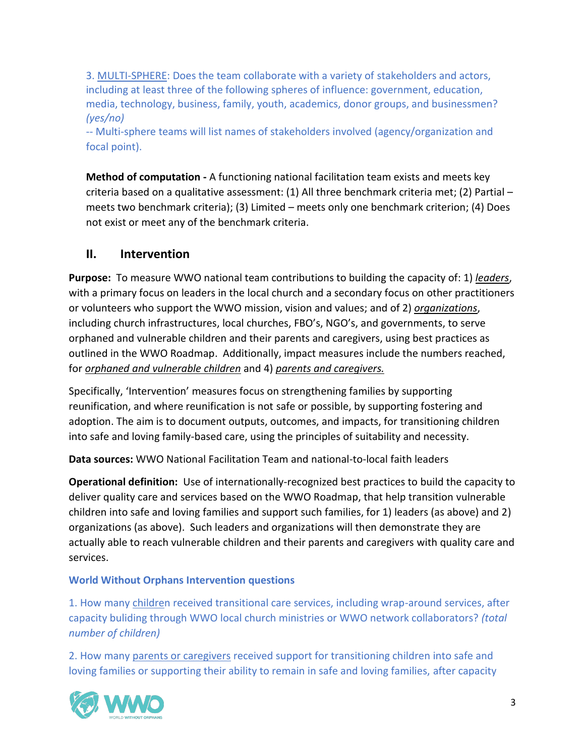3. MULTI-SPHERE: Does the team collaborate with a variety of stakeholders and actors, including at least three of the following spheres of influence: government, education, media, technology, business, family, youth, academics, donor groups, and businessmen? *(yes/no)*

-- Multi-sphere teams will list names of stakeholders involved (agency/organization and focal point).

**Method of computation -** A functioning national facilitation team exists and meets key criteria based on a qualitative assessment: (1) All three benchmark criteria met; (2) Partial – meets two benchmark criteria); (3) Limited – meets only one benchmark criterion; (4) Does not exist or meet any of the benchmark criteria.

# **II. Intervention**

**Purpose:** To measure WWO national team contributions to building the capacity of: 1) *leaders*, with a primary focus on leaders in the local church and a secondary focus on other practitioners or volunteers who support the WWO mission, vision and values; and of 2) *organizations*, including church infrastructures, local churches, FBO's, NGO's, and governments, to serve orphaned and vulnerable children and their parents and caregivers, using best practices as outlined in the WWO Roadmap. Additionally, impact measures include the numbers reached, for *orphaned and vulnerable children* and 4) *parents and caregivers.* 

Specifically, 'Intervention' measures focus on strengthening families by supporting reunification, and where reunification is not safe or possible, by supporting fostering and adoption. The aim is to document outputs, outcomes, and impacts, for transitioning children into safe and loving family-based care, using the principles of suitability and necessity.

**Data sources:** WWO National Facilitation Team and national-to-local faith leaders

**Operational definition:** Use of internationally-recognized best practices to build the capacity to deliver quality care and services based on the WWO Roadmap, that help transition vulnerable children into safe and loving families and support such families, for 1) leaders (as above) and 2) organizations (as above). Such leaders and organizations will then demonstrate they are actually able to reach vulnerable children and their parents and caregivers with quality care and services.

#### **World Without Orphans Intervention questions**

1. How many children received transitional care services, including wrap-around services, after capacity buliding through WWO local church ministries or WWO network collaborators? *(total number of children)*

2. How many parents or caregivers received support for transitioning children into safe and loving families or supporting their ability to remain in safe and loving families, after capacity

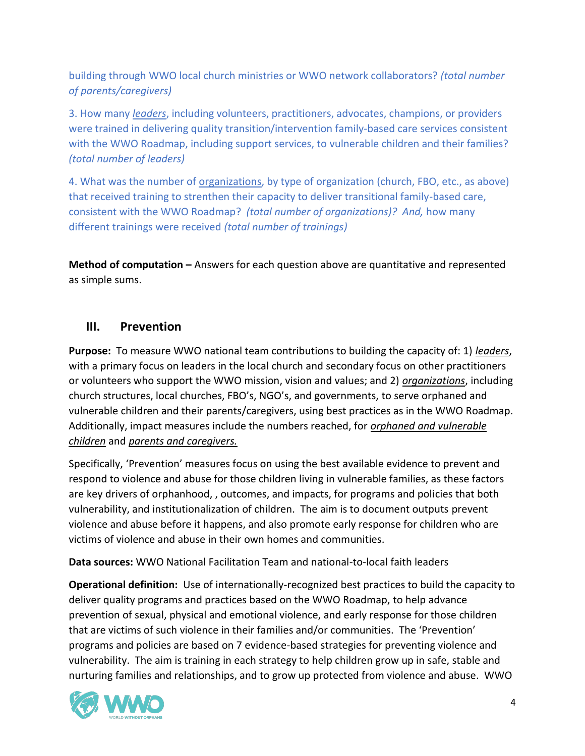building through WWO local church ministries or WWO network collaborators? *(total number of parents/caregivers)*

3. How many *leaders*, including volunteers, practitioners, advocates, champions, or providers were trained in delivering quality transition/intervention family-based care services consistent with the WWO Roadmap, including support services, to vulnerable children and their families? *(total number of leaders)*

4. What was the number of organizations, by type of organization (church, FBO, etc., as above) that received training to strenthen their capacity to deliver transitional family-based care, consistent with the WWO Roadmap? *(total number of organizations)? And,* how many different trainings were received *(total number of trainings)*

**Method of computation –** Answers for each question above are quantitative and represented as simple sums.

# **III. Prevention**

**Purpose:** To measure WWO national team contributions to building the capacity of: 1) *leaders*, with a primary focus on leaders in the local church and secondary focus on other practitioners or volunteers who support the WWO mission, vision and values; and 2) *organizations*, including church structures, local churches, FBO's, NGO's, and governments, to serve orphaned and vulnerable children and their parents/caregivers, using best practices as in the WWO Roadmap. Additionally, impact measures include the numbers reached, for *orphaned and vulnerable children* and *parents and caregivers.* 

Specifically, 'Prevention' measures focus on using the best available evidence to prevent and respond to violence and abuse for those children living in vulnerable families, as these factors are key drivers of orphanhood, , outcomes, and impacts, for programs and policies that both vulnerability, and institutionalization of children. The aim is to document outputs prevent violence and abuse before it happens, and also promote early response for children who are victims of violence and abuse in their own homes and communities.

**Data sources:** WWO National Facilitation Team and national-to-local faith leaders

**Operational definition:** Use of internationally-recognized best practices to build the capacity to deliver quality programs and practices based on the WWO Roadmap, to help advance prevention of sexual, physical and emotional violence, and early response for those children that are victims of such violence in their families and/or communities. The 'Prevention' programs and policies are based on 7 evidence-based strategies for preventing violence and vulnerability. The aim is training in each strategy to help children grow up in safe, stable and nurturing families and relationships, and to grow up protected from violence and abuse. WWO

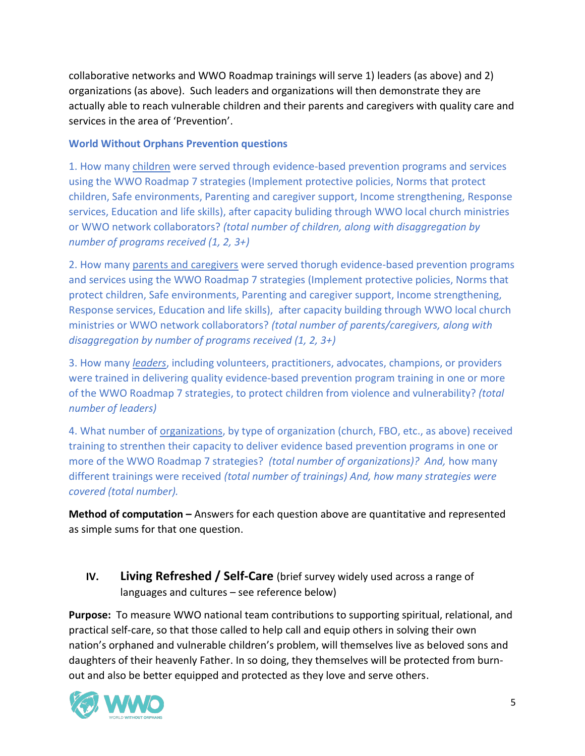collaborative networks and WWO Roadmap trainings will serve 1) leaders (as above) and 2) organizations (as above). Such leaders and organizations will then demonstrate they are actually able to reach vulnerable children and their parents and caregivers with quality care and services in the area of 'Prevention'.

#### **World Without Orphans Prevention questions**

1. How many children were served through evidence-based prevention programs and services using the WWO Roadmap 7 strategies (Implement protective policies, Norms that protect children, Safe environments, Parenting and caregiver support, Income strengthening, Response services, Education and life skills), after capacity buliding through WWO local church ministries or WWO network collaborators? *(total number of children, along with disaggregation by number of programs received (1, 2, 3+)*

2. How many parents and caregivers were served thorugh evidence-based prevention programs and services using the WWO Roadmap 7 strategies (Implement protective policies, Norms that protect children, Safe environments, Parenting and caregiver support, Income strengthening, Response services, Education and life skills), after capacity building through WWO local church ministries or WWO network collaborators? *(total number of parents/caregivers, along with disaggregation by number of programs received (1, 2, 3+)*

3. How many *leaders*, including volunteers, practitioners, advocates, champions, or providers were trained in delivering quality evidence-based prevention program training in one or more of the WWO Roadmap 7 strategies, to protect children from violence and vulnerability? *(total number of leaders)*

4. What number of organizations, by type of organization (church, FBO, etc., as above) received training to strenthen their capacity to deliver evidence based prevention programs in one or more of the WWO Roadmap 7 strategies? *(total number of organizations)? And,* how many different trainings were received *(total number of trainings) And, how many strategies were covered (total number).*

**Method of computation –** Answers for each question above are quantitative and represented as simple sums for that one question.

# **IV. Living Refreshed / Self-Care** (brief survey widely used across a range of languages and cultures – see reference below)

**Purpose:** To measure WWO national team contributions to supporting spiritual, relational, and practical self-care, so that those called to help call and equip others in solving their own nation's orphaned and vulnerable children's problem, will themselves live as beloved sons and daughters of their heavenly Father. In so doing, they themselves will be protected from burnout and also be better equipped and protected as they love and serve others.

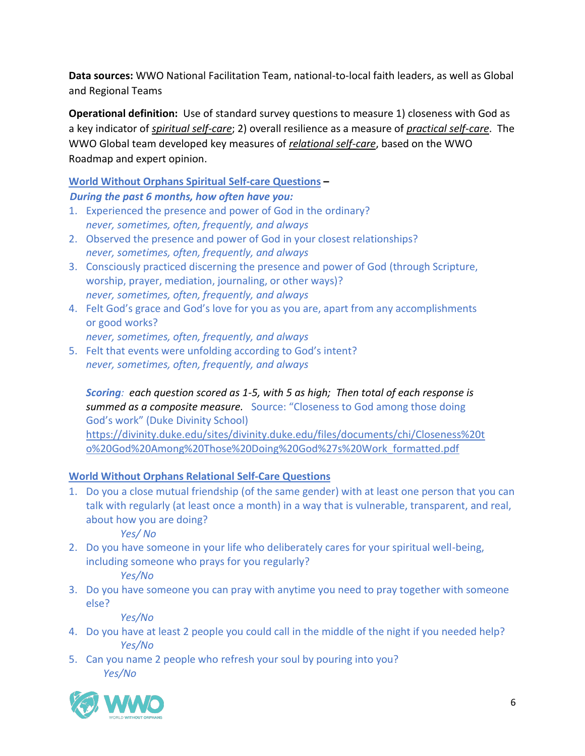**Data sources:** WWO National Facilitation Team, national-to-local faith leaders, as well as Global and Regional Teams

**Operational definition:** Use of standard survey questions to measure 1) closeness with God as a key indicator of *spiritual self-care*; 2) overall resilience as a measure of *practical self-care*. The WWO Global team developed key measures of *relational self-care*, based on the WWO Roadmap and expert opinion.

**World Without Orphans Spiritual Self-care Questions –**

 *During the past 6 months, how often have you:*

- 1. Experienced the presence and power of God in the ordinary? *never, sometimes, often, frequently, and always*
- 2. Observed the presence and power of God in your closest relationships? *never, sometimes, often, frequently, and always*
- 3. Consciously practiced discerning the presence and power of God (through Scripture, worship, prayer, mediation, journaling, or other ways)? *never, sometimes, often, frequently, and always*
- 4. Felt God's grace and God's love for you as you are, apart from any accomplishments or good works? *never, sometimes, often, frequently, and always*
- 5. Felt that events were unfolding according to God's intent? *never, sometimes, often, frequently, and always*

*Scoring: each question scored as 1-5, with 5 as high; Then total of each response is summed as a composite measure.* Source: "Closeness to God among those doing God's work" (Duke Divinity School) [https://divinity.duke.edu/sites/divinity.duke.edu/files/documents/chi/Closeness%20t](https://divinity.duke.edu/sites/divinity.duke.edu/files/documents/chi/Closeness%20to%20God%20Among%20Those%20Doing%20God%27s%20Work_formatted.pdf) [o%20God%20Among%20Those%20Doing%20God%27s%20Work\\_formatted.pdf](https://divinity.duke.edu/sites/divinity.duke.edu/files/documents/chi/Closeness%20to%20God%20Among%20Those%20Doing%20God%27s%20Work_formatted.pdf)

# **World Without Orphans Relational Self-Care Questions**

1. Do you a close mutual friendship (of the same gender) with at least one person that you can talk with regularly (at least once a month) in a way that is vulnerable, transparent, and real, about how you are doing?

*Yes/ No*

- 2. Do you have someone in your life who deliberately cares for your spiritual well-being, including someone who prays for you regularly? *Yes/No*
- 3. Do you have someone you can pray with anytime you need to pray together with someone else?

*Yes/No*

- 4. Do you have at least 2 people you could call in the middle of the night if you needed help? *Yes/No*
- 5. Can you name 2 people who refresh your soul by pouring into you? *Yes/No*